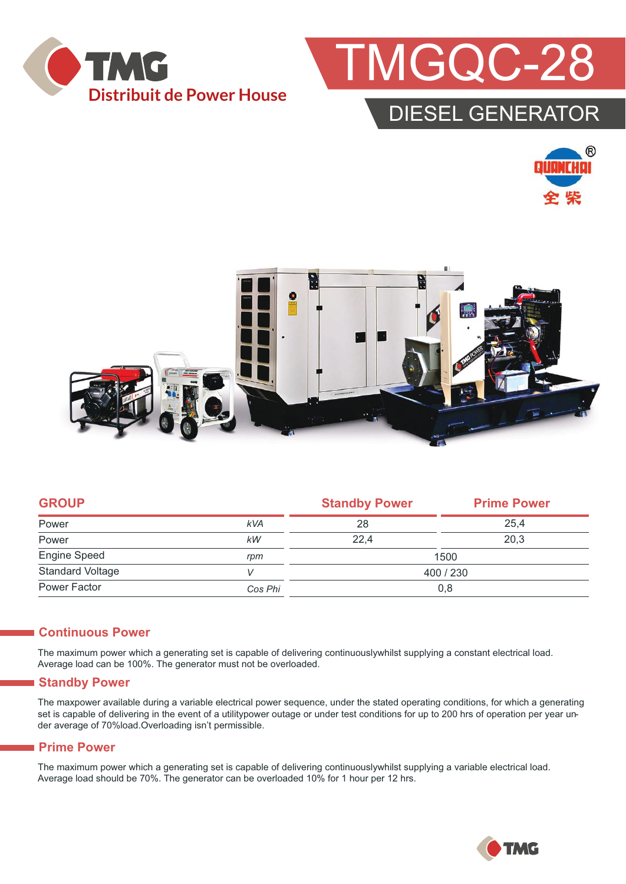



## DIESEL GENERATOR





| <b>GROUP</b>            |            | <b>Standby Power</b> | <b>Prime Power</b> |  |
|-------------------------|------------|----------------------|--------------------|--|
| Power                   | <b>kVA</b> | 28                   | 25,4               |  |
| Power                   | kW         | 22,4                 | 20,3               |  |
| Engine Speed            | rpm        | 1500                 |                    |  |
| <b>Standard Voltage</b> |            | 400 / 230            |                    |  |
| Power Factor            | Cos Phi    | 0,8                  |                    |  |
|                         |            |                      |                    |  |

#### **Continuous Power**

The maximum power which a generating set is capable of delivering continuouslywhilst supplying a constant electrical load. Average load can be 100%. The generator must not be overloaded.

#### **Standby Power**

The maxpower available during a variable electrical power sequence, under the stated operating conditions, for which a generating set is capable of delivering in the event of a utilitypower outage or under test conditions for up to 200 hrs of operation per year under average of 70%load.Overloading isn't permissible.

#### **Prime Power**

The maximum power which a generating set is capable of delivering continuouslywhilst supplying a variable electrical load. Average load should be 70%. The generator can be overloaded 10% for 1 hour per 12 hrs.

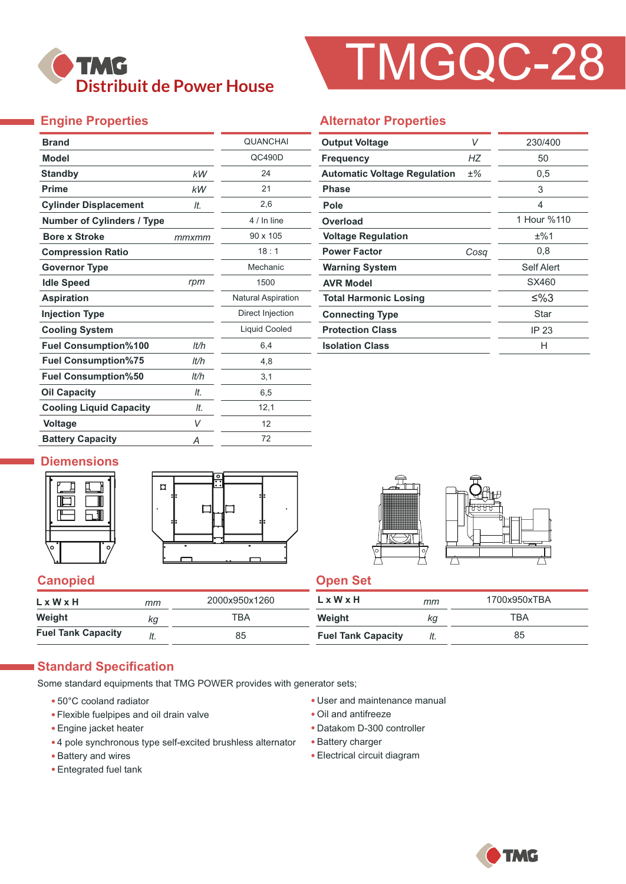

# TMGQC-28

### **Engine Properties**

| <b>Brand</b>                      |       | <b>QUANCHAI</b>           |  |  |
|-----------------------------------|-------|---------------------------|--|--|
| Model                             |       | QC490D                    |  |  |
| <b>Standby</b>                    | kW    | 24                        |  |  |
| <b>Prime</b>                      | kW    | 21                        |  |  |
| <b>Cylinder Displacement</b>      | It.   | 2,6                       |  |  |
| <b>Number of Cylinders / Type</b> |       | 4 / In line               |  |  |
| <b>Bore x Stroke</b>              | mmxmm | 90 x 105                  |  |  |
| <b>Compression Ratio</b>          |       | 18:1                      |  |  |
| <b>Governor Type</b>              |       | Mechanic                  |  |  |
| <b>Idle Speed</b>                 | rpm   | 1500                      |  |  |
| <b>Aspiration</b>                 |       | <b>Natural Aspiration</b> |  |  |
| <b>Injection Type</b>             |       | Direct Injection          |  |  |
| <b>Cooling System</b>             |       | <b>Liquid Cooled</b>      |  |  |
| <b>Fuel Consumption%100</b>       | lt/h  | 6,4                       |  |  |
| <b>Fuel Consumption%75</b>        | lt/h  | 4,8                       |  |  |
| <b>Fuel Consumption%50</b>        | It/h  | 3,1                       |  |  |
| <b>Oil Capacity</b>               | It.   | 6,5                       |  |  |
| <b>Cooling Liquid Capacity</b>    | It.   | 12,1                      |  |  |
| <b>Voltage</b>                    | V     | 12                        |  |  |
| <b>Battery Capacity</b>           | Α     | 72                        |  |  |

#### **Alternator Properties**

| <b>Output Voltage</b>               | V    | 230/400     |  |
|-------------------------------------|------|-------------|--|
| <b>Frequency</b>                    | НZ   | 50          |  |
| <b>Automatic Voltage Regulation</b> | ±%   | 0.5         |  |
| <b>Phase</b>                        |      | 3           |  |
| Pole                                |      | 4           |  |
| Overload                            |      | 1 Hour %110 |  |
| <b>Voltage Regulation</b>           |      | ±%1         |  |
| <b>Power Factor</b>                 | Cosq | 0,8         |  |
| <b>Warning System</b>               |      | Self Alert  |  |
| <b>AVR Model</b>                    |      | SX460       |  |
| <b>Total Harmonic Losing</b>        |      | ≤%3         |  |
| <b>Connecting Type</b>              |      | Star        |  |
| <b>Protection Class</b>             |      | IP 23       |  |
| <b>Isolation Class</b>              |      | н           |  |

#### **Diemensions**





#### **Canopied Canopied Canopied**

| LxWxH                     | тт  | 2000x950x1260 | $L \times W \times H$     | mm  | 1700x950xTBA |
|---------------------------|-----|---------------|---------------------------|-----|--------------|
| Weight                    | КQ  | тва           | Weight                    | кg  | TBA          |
| <b>Fuel Tank Capacity</b> | ៸ι. | 85            | <b>Fuel Tank Capacity</b> | It. | 85           |

#### **Standard Specification**

Some standard equipments that TMG POWER provides with generator sets;

- 50°C cooland radiator
- Flexible fuelpipes and oil drain valve
- Engine jacket heater
- 4 pole synchronous type self-excited brushless alternator
- Battery and wires
- Entegrated fuel tank
- User and maintenance manual
- Oil and antifreeze
- Datakom D-300 controller
- Battery charger
- Electrical circuit diagram